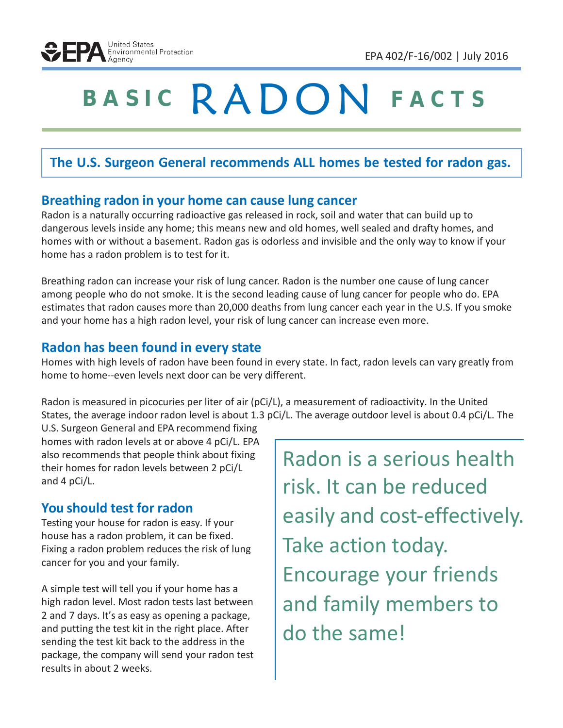# **<sup>B</sup> <sup>A</sup> <sup>S</sup> <sup>I</sup> <sup>C</sup>** RADON **<sup>F</sup> <sup>A</sup> <sup>C</sup> <sup>T</sup> <sup>S</sup>**

# **The U.S. Surgeon General recommends ALL homes be tested for radon gas.**

#### **Breathing radon in your home can cause lung cancer**

Radon is a naturally occurring radioactive gas released in rock, soil and water that can build up to dangerous levels inside any home; this means new and old homes, well sealed and drafty homes, and homes with or without a basement. Radon gas is odorless and invisible and the only way to know if your home has a radon problem is to test for it.

Breathing radon can increase your risk of lung cancer. Radon is the number one cause of lung cancer among people who do not smoke. It is the second leading cause of lung cancer for people who do. EPA estimates that radon causes more than 20,000 deaths from lung cancer each year in the U.S. If you smoke and your home has a high radon level, your risk of lung cancer can increase even more.

## **Radon has been found in every state**

Homes with high levels of radon have been found in every state. In fact, radon levels can vary greatly from home to home--even levels next door can be very different.

Radon is measured in picocuries per liter of air (pCi/L), a measurement of radioactivity. In the United States, the average indoor radon level is about 1.3 pCi/L. The average outdoor level is about 0.4 pCi/L. The

U.S. Surgeon General and EPA recommend fixing homes with radon levels at or above 4 pCi/L. EPA also recommends that people think about fixing their homes for radon levels between 2 pCi/L and 4 pCi/L.

# **You should test for radon**

Testing your house for radon is easy. If your house has a radon problem, it can be fixed. Fixing a radon problem reduces the risk of lung cancer for you and your family.

A simple test will tell you if your home has a high radon level. Most radon tests last between 2 and 7 days. It's as easy as opening a package, and putting the test kit in the right place. After sending the test kit back to the address in the package, the company will send your radon test results in about 2 weeks.

Radon is a serious health risk. It can be reduced easily and cost-effectively. Take action today. Encourage your friends and family members to do the same!